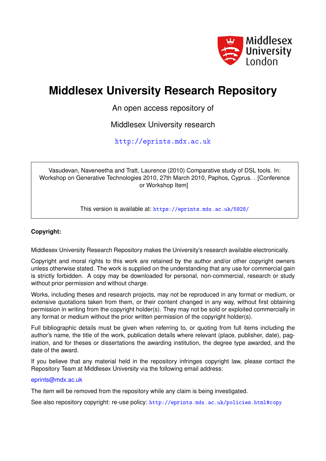

# **Middlesex University Research Repository**

An open access repository of

Middlesex University research

<http://eprints.mdx.ac.uk>

Vasudevan, Naveneetha and Tratt, Laurence (2010) Comparative study of DSL tools. In: Workshop on Generative Technologies 2010, 27th March 2010, Paphos, Cyprus. . [Conference or Workshop Item]

This version is available at: <https://eprints.mdx.ac.uk/5928/>

#### **Copyright:**

Middlesex University Research Repository makes the University's research available electronically.

Copyright and moral rights to this work are retained by the author and/or other copyright owners unless otherwise stated. The work is supplied on the understanding that any use for commercial gain is strictly forbidden. A copy may be downloaded for personal, non-commercial, research or study without prior permission and without charge.

Works, including theses and research projects, may not be reproduced in any format or medium, or extensive quotations taken from them, or their content changed in any way, without first obtaining permission in writing from the copyright holder(s). They may not be sold or exploited commercially in any format or medium without the prior written permission of the copyright holder(s).

Full bibliographic details must be given when referring to, or quoting from full items including the author's name, the title of the work, publication details where relevant (place, publisher, date), pagination, and for theses or dissertations the awarding institution, the degree type awarded, and the date of the award.

If you believe that any material held in the repository infringes copyright law, please contact the Repository Team at Middlesex University via the following email address:

#### [eprints@mdx.ac.uk](mailto:eprints@mdx.ac.uk)

The item will be removed from the repository while any claim is being investigated.

See also repository copyright: re-use policy: <http://eprints.mdx.ac.uk/policies.html#copy>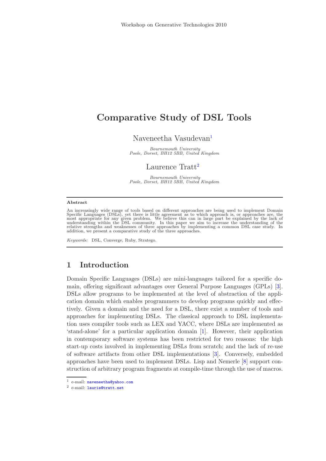## Comparative Study of DSL Tools

#### Naveneetha Vasudevan<sup>[1](#page-1-0)</sup>

Bournemouth University Poole, Dorset, BH12 5BB, United Kingdom

#### Laurence Tratt<sup>[2](#page-1-0)</sup>

Bournemouth University Poole, Dorset, BH12 5BB, United Kingdom

#### <span id="page-1-0"></span>Abstract

An increasingly wide range of tools based on different approaches are being used to implement Domain Specific Languages (DSLs), yet there is little agreement as to which approach is, or approaches are, the most appropriate for any given problem. We believe this can in large part be explained by the lack of understanding w

Keywords: DSL, Converge, Ruby, Stratego.

#### 1 Introduction

Domain Specific Languages (DSLs) are mini-languages tailored for a specific domain, offering significant advantages over General Purpose Languages (GPLs) [\[3\]](#page-10-0). DSLs allow programs to be implemented at the level of abstraction of the application domain which enables programmers to develop programs quickly and effectively. Given a domain and the need for a DSL, there exist a number of tools and approaches for implementing DSLs. The classical approach to DSL implementation uses compiler tools such as LEX and YACC, where DSLs are implemented as 'stand-alone' for a particular application domain [\[1\]](#page-10-1). However, their application in contemporary software systems has been restricted for two reasons: the high start-up costs involved in implementing DSLs from scratch; and the lack of re-use of software artifacts from other DSL implementations [\[3\]](#page-10-0). Conversely, embedded approaches have been used to implement DSLs. Lisp and Nemerle [\[8\]](#page-10-2) support construction of arbitrary program fragments at compile-time through the use of macros.

<sup>&</sup>lt;sup>1</sup> e-mail: [naveneetha@yahoo.com](mailto:naveneetha@yahoo.com)

<sup>2</sup> e-mail: [laurie@tratt.net](mailto:laurie@tratt.net)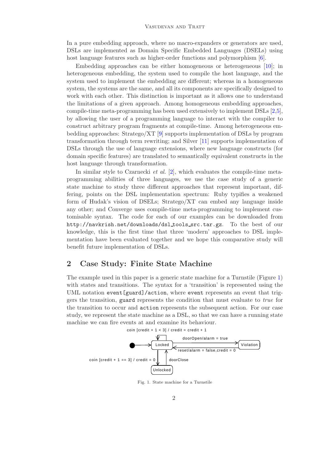In a pure embedding approach, where no macro-expanders or generators are used, DSLs are implemented as Domain Specific Embedded Languages (DSELs) using host language features such as higher-order functions and polymorphism [\[6\]](#page-10-3).

Embedding approaches can be either homogeneous or heterogeneous [\[10\]](#page-10-4); in heterogeneous embedding, the system used to compile the host language, and the system used to implement the embedding are different; whereas in a homogeneous system, the systems are the same, and all its components are specifically designed to work with each other. This distinction is important as it allows one to understand the limitations of a given approach. Among homogeneous embedding approaches, compile-time meta-programming has been used extensively to implement DSLs [\[2,](#page-10-5)[5\]](#page-10-6), by allowing the user of a programming language to interact with the compiler to construct arbitrary program fragments at compile-time. Among heterogeneous embedding approaches: Stratego/XT [\[9\]](#page-10-7) supports implementation of DSLs by program transformation through term rewriting; and Silver [\[11\]](#page-10-8) supports implementation of DSLs through the use of language extensions, where new language constructs (for domain specific features) are translated to semantically equivalent constructs in the host language through transformation.

In similar style to Czarnecki *et al.* [\[2\]](#page-10-5), which evaluates the compile-time metaprogramming abilities of three languages, we use the case study of a generic state machine to study three different approaches that represent important, differing, points on the DSL implementation spectrum: Ruby typifies a weakened form of Hudak's vision of DSELs; Stratego/XT can embed any language inside any other; and Converge uses compile-time meta-programming to implement customisable syntax. The code for each of our examples can be downloaded from http://navkrish.net/downloads/dsl tools src.tar.gz. To the best of our knowledge, this is the first time that three 'modern' approaches to DSL implementation have been evaluated together and we hope this comparative study will benefit future implementation of DSLs.

#### 2 Case Study: Finite State Machine

The example used in this paper is a generic state machine for a Turnstile (Figure [1\)](#page-2-0) with states and transitions. The syntax for a 'transition' is represented using the UML notation event [guard]/action, where event represents an event that triggers the transition, guard represents the condition that must evaluate to true for the transition to occur and action represents the subsequent action. For our case study, we represent the state machine as a DSL, so that we can have a running state machine we can fire events at and examine its behaviour.



<span id="page-2-0"></span>Fig. 1. State machine for a Turnstile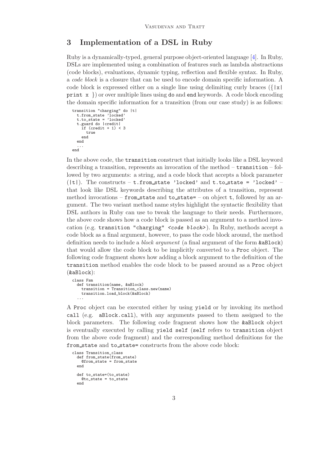#### 3 Implementation of a DSL in Ruby

Ruby is a dynamically-typed, general purpose object-oriented language [\[4\]](#page-10-9). In Ruby, DSLs are implemented using a combination of features such as lambda abstractions (code blocks), evaluations, dynamic typing, reflection and flexible syntax. In Ruby, a code block is a closure that can be used to encode domain specific information. A code block is expressed either on a single line using delimiting curly braces  $({x \mid x})$ print  $x \}$  or over multiple lines using do and end keywords. A code block encoding the domain specific information for a transition (from our case study) is as follows:

```
transition "charging" do |t|
  t.from_state 'locked'
t.to_state = 'locked'
  t.guard do |credit|
     if (credit +1) < 3
       true
     end
  end
  ...
end
```
In the above code, the transition construct that initially looks like a DSL keyword describing a transition, represents an invocation of the method – transition – followed by two arguments: a string, and a code block that accepts a block parameter  $(|t|)$ . The constructs – t.from state 'locked' and t.to state = 'locked' – that look like DSL keywords describing the attributes of a transition, represent method invocations – from state and to state= – on object t, followed by an argument. The two variant method name styles highlight the syntactic flexibility that DSL authors in Ruby can use to tweak the language to their needs. Furthermore, the above code shows how a code block is passed as an argument to a method invocation (e.g. transition "charging" <code block> ). In Ruby, methods accept a code block as a final argument, however, to pass the code block around, the method definition needs to include a *block argument* (a final argument of the form  $\&$ aBlock) that would allow the code block to be implicitly converted to a Proc object. The following code fragment shows how adding a block argument to the definition of the transition method enables the code block to be passed around as a Proc object (&aBlock):

```
class Fsm
  def transition(name, &aBlock)
    transition = Transition_class.new(name)
    transition.load_block(&aBlock)
  ...
```
A Proc object can be executed either by using yield or by invoking its method call (e.g. aBlock.call), with any arguments passed to them assigned to the block parameters. The following code fragment shows how the &aBlock object is eventually executed by calling yield self (self refers to transition object from the above code fragment) and the corresponding method definitions for the from state and to state= constructs from the above code block:

```
class Transition_class
  def from_state(from_state)
    @from_state = from_state
  end
  def to_state=(to_state)
    @to<sub>state</sub> = to<sub>state</sub>
  end
```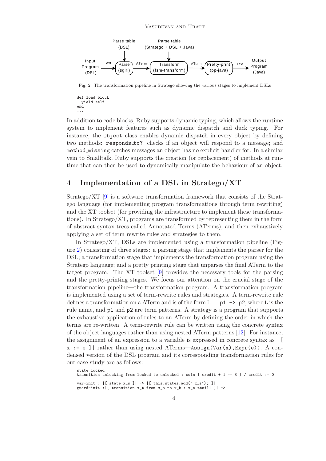

Fig. 2. The transformation pipeline in Stratego showing the various stages to implement DSLs

```
def load_block
yield self
end
...
```
In addition to code blocks, Ruby supports dynamic typing, which allows the runtime system to implement features such as dynamic dispatch and duck typing. For instance, the Object class enables dynamic dispatch in every object by defining two methods: responds to? checks if an object will respond to a message; and method missing catches messages an object has no explicit handler for. In a similar vein to Smalltalk, Ruby supports the creation (or replacement) of methods at runtime that can then be used to dynamically manipulate the behaviour of an object.

#### 4 Implementation of a DSL in Stratego/XT

Stratego/XT [\[9\]](#page-10-7) is a software transformation framework that consists of the Stratego language (for implementing program transformations through term rewriting) and the XT toolset (for providing the infrastructure to implement these transformations). In Stratego/XT, programs are transformed by representing them in the form of abstract syntax trees called Annotated Terms (ATerms), and then exhaustively applying a set of term rewrite rules and strategies to them.

In Stratego/XT, DSLs are implemented using a transformation pipeline (Figure [2\)](#page-4-0) consisting of three stages: a parsing stage that implements the parser for the DSL; a transformation stage that implements the transformation program using the Stratego language; and a pretty printing stage that unparses the final ATerm to the target program. The XT toolset [\[9\]](#page-10-7) provides the necessary tools for the parsing and the pretty-printing stages. We focus our attention on the crucial stage of the transformation pipeline—the transformation program. A transformation program is implemented using a set of term-rewrite rules and strategies. A term-rewrite rule defines a transformation on a ATerm and is of the form  $L : p1 \rightarrow p2$ , where L is the rule name, and p1 and p2 are term patterns. A strategy is a program that supports the exhaustive application of rules to an ATerm by defining the order in which the terms are re-written. A term-rewrite rule can be written using the concrete syntax of the object languages rather than using nested ATerm patterns [\[12\]](#page-10-10). For instance, the assignment of an expression to a variable is expressed in concrete syntax as |[  $x := e$  ] rather than using nested ATerms—Assign(Var(x), Expr(e)). A condensed version of the DSL program and its corresponding transformation rules for our case study are as follows:

```
state locked
transition unlocking from locked to unlocked : coin [ credit + 1 == 3 ] / credit := 0var-init : |[ state x_s ]| -> |[ this.states.add(""x_s"); ]|
guard-init :|[ transition x_t from x_a to x_b : x_e ttail1 ]| ->
```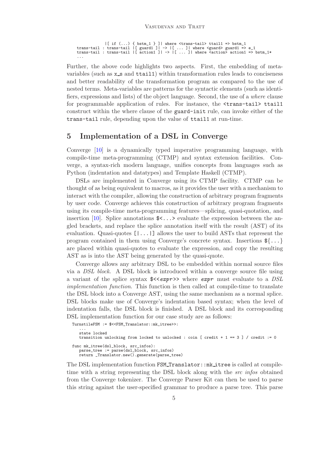```
|[ if (...) { bstm_1 } ]| where \langletrans-tail> ttail1 => bstm_1
trans-tail : trans-tail |[ guard1 ]| -> |[ ... ]| where <guard> guard1 => e_1
trans-tail : trans-tail |[ action1 ]| -> |[ ... ]| where <action> action1 => bstm_1*
...
```
Further, the above code highlights two aspects. First, the embedding of metavariables (such as  $x$  s and  $ttail1$ ) within transformation rules leads to conciseness and better readability of the transformation program as compared to the use of nested terms. Meta-variables are patterns for the syntactic elements (such as identifiers, expressions and lists) of the object language. Second, the use of a where clause for programmable application of rules. For instance, the <trans-tail> ttail1 construct within the where clause of the guard-init rule, can invoke either of the trans-tail rule, depending upon the value of ttail1 at run-time.

#### 5 Implementation of a DSL in Converge

Converge [\[10\]](#page-10-4) is a dynamically typed imperative programming language, with compile-time meta-programming (CTMP) and syntax extension facilities. Converge, a syntax-rich modern language, unifies concepts from languages such as Python (indentation and datatypes) and Template Haskell (CTMP).

DSLs are implemented in Converge using its CTMP facility. CTMP can be thought of as being equivalent to macros, as it provides the user with a mechanism to interact with the compiler, allowing the construction of arbitrary program fragments by user code. Converge achieves this construction of arbitrary program fragments using its compile-time meta-programming features—splicing, quasi-quotation, and insertion [\[10\]](#page-10-4). Splice annotations  $\&\ldots\&\&$  evaluate the expression between the angled brackets, and replace the splice annotation itself with the result (AST) of its evaluation. Quasi-quotes  $[.\,.]$  allows the user to build ASTs that represent the program contained in them using Converge's concrete syntax. Insertions  $\mathcal{F}\{\ldots\}$ are placed within quasi-quotes to evaluate the expression, and copy the resulting AST as is into the AST being generated by the quasi-quote.

Converge allows any arbitrary DSL to be embedded within normal source files via a DSL block. A DSL block is introduced within a converge source file using a variant of the splice syntax  $\sqrt{$\langle \langle expr \rangle \rangle}$  where  $\exp r$  must evaluate to a DSL implementation function. This function is then called at compile-time to translate the DSL block into a Converge AST, using the same mechanism as a normal splice. DSL blocks make use of Converge's indentation based syntax; when the level of indentation falls, the DSL block is finished. A DSL block and its corresponding DSL implementation function for our case study are as follows:

TurnstileFSM := \$<<FSM\_Translator::mk\_itree>>:

... state locked transition unlocking from locked to unlocked : coin [ credit + 1 == 3 ] / credit := 0 func mk\_itree(dsl\_block, src\_infos): parse\_tree := parse(dsl\_block, src\_infos)

return \_Translator.new().generate(parse\_tree)

The DSL implementation function FSM\_Translator::mk\_itree is called at compiletime with a string representing the DSL block along with the *src infos* obtained from the Converge tokenizer. The Converge Parser Kit can then be used to parse this string against the user-specified grammar to produce a parse tree. This parse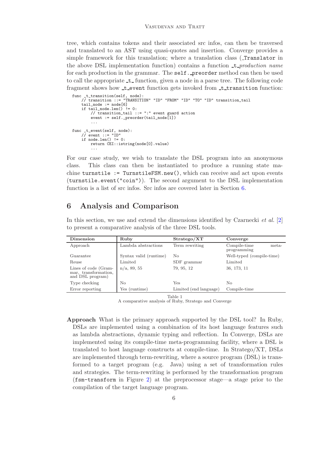tree, which contains tokens and their associated src infos, can then be traversed and translated to an AST using quasi-quotes and insertion. Converge provides a simple framework for this translation; where a translation class (Translator in the above DSL implementation function) contains a function  $\pm$  *production name* for each production in the grammar. The self. preorder method can then be used to call the appropriate  $\pm$  function, given a node in a parse tree. The following code fragment shows how t event function gets invoked from t transition function:

```
func _t_transition(self, node):
// transition ::= "TRANSITION" "ID" "FROM" "ID" "TO" "ID" transition_tail
    tail_node := node[6]
    if tail_node.len() != 0:
        // transition_tail ::= ":" event guard action
        event := self._preorder(tail_node[1])
         ...
func _t_event(self, node):
    // event ::= "ID"
    if node.length() != 0:
        return CEI::istring(node[0].value)
         ...
```
For our case study, we wish to translate the DSL program into an anonymous class. This class can then be instantiated to produce a running state machine turnstile := TurnstileFSM.new(), which can receive and act upon events (turnstile.event("coin")). The second argument to the DSL implementation function is a list of src infos. Src infos are covered later in Section [6.](#page-6-0)

### <span id="page-6-0"></span>6 Analysis and Comparison

| Dimension                                                        | Ruby                   | Strategy/XT            | Converge                             |
|------------------------------------------------------------------|------------------------|------------------------|--------------------------------------|
| Approach                                                         | Lambda abstractions    | Term rewriting         | Compile-time<br>meta-<br>programming |
| Guarantee                                                        | Syntax valid (runtime) | Nο                     | Well-typed (compile-time)            |
| Reuse                                                            | Limited                | SDF grammar            | Limited                              |
| Lines of code (Gram-<br>mar, transformation,<br>and DSL program) | $n/a$ , 89, 55         | 79, 95, 12             | 36, 173, 11                          |
| Type checking                                                    | No                     | Yes                    | No                                   |
| Error reporting                                                  | Yes (runtime)          | Limited (end language) | Compile-time                         |

In this section, we use and extend the dimensions identified by Czarnecki *et al.* [\[2\]](#page-10-5) to present a comparative analysis of the three DSL tools.

Table 1

A comparative analysis of Ruby, Stratego and Converge

Approach What is the primary approach supported by the DSL tool? In Ruby, DSLs are implemented using a combination of its host language features such as lambda abstractions, dynamic typing and reflection. In Converge, DSLs are implemented using its compile-time meta-programming facility, where a DSL is translated to host language constructs at compile-time. In Stratego/XT, DSLs are implemented through term-rewriting, where a source program (DSL) is transformed to a target program (e.g. Java) using a set of transformation rules and strategies. The term-rewriting is performed by the transformation program (fsm-transform in Figure [2\)](#page-4-0) at the preprocessor stage—a stage prior to the compilation of the target language program.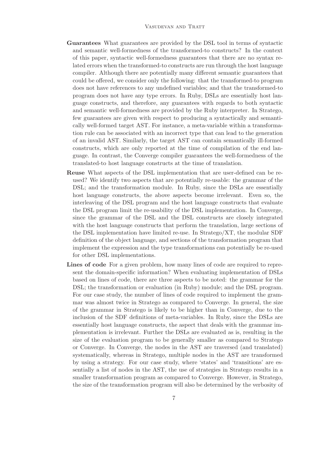- Guarantees What guarantees are provided by the DSL tool in terms of syntactic and semantic well-formedness of the transformed-to constructs? In the context of this paper, syntactic well-formedness guarantees that there are no syntax related errors when the transformed-to constructs are run through the host language compiler. Although there are potentially many different semantic guarantees that could be offered, we consider only the following: that the transformed-to program does not have references to any undefined variables; and that the transformed-to program does not have any type errors. In Ruby, DSLs are essentially host language constructs, and therefore, any guarantees with regards to both syntactic and semantic well-formedness are provided by the Ruby interpreter. In Stratego, few guarantees are given with respect to producing a syntactically and semantically well-formed target AST. For instance, a meta-variable within a transformation rule can be associated with an incorrect type that can lead to the generation of an invalid AST. Similarly, the target AST can contain semantically ill-formed constructs, which are only reported at the time of compilation of the end language. In contrast, the Converge compiler guarantees the well-formedness of the translated-to host language constructs at the time of translation.
- Reuse What aspects of the DSL implementation that are user-defined can be reused? We identify two aspects that are potentially re-usable: the grammar of the DSL; and the transformation module. In Ruby, since the DSLs are essentially host language constructs, the above aspects become irrelevant. Even so, the interleaving of the DSL program and the host language constructs that evaluate the DSL program limit the re-usability of the DSL implementation. In Converge, since the grammar of the DSL and the DSL constructs are closely integrated with the host language constructs that perform the translation, large sections of the DSL implementation have limited re-use. In Stratego/XT, the modular SDF definition of the object language, and sections of the transformation program that implement the expression and the type transformations can potentially be re-used for other DSL implementations.
- Lines of code For a given problem, how many lines of code are required to represent the domain-specific information? When evaluating implementation of DSLs based on lines of code, there are three aspects to be noted: the grammar for the DSL; the transformation or evaluation (in Ruby) module; and the DSL program. For our case study, the number of lines of code required to implement the grammar was almost twice in Stratego as compared to Converge. In general, the size of the grammar in Stratego is likely to be higher than in Converge, due to the inclusion of the SDF definitions of meta-variables. In Ruby, since the DSLs are essentially host language constructs, the aspect that deals with the grammar implementation is irrelevant. Further the DSLs are evaluated as is, resulting in the size of the evaluation program to be generally smaller as compared to Stratego or Converge. In Converge, the nodes in the AST are traversed (and translated) systematically, whereas in Stratego, multiple nodes in the AST are transformed by using a strategy. For our case study, where 'states' and 'transitions' are essentially a list of nodes in the AST, the use of strategies in Stratego results in a smaller transformation program as compared to Converge. However, in Stratego, the size of the transformation program will also be determined by the verbosity of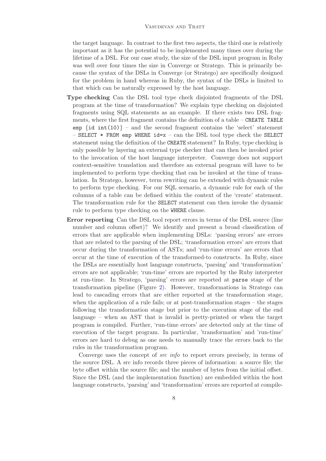the target language. In contrast to the first two aspects, the third one is relatively important as it has the potential to be implemented many times over during the lifetime of a DSL. For our case study, the size of the DSL input program in Ruby was well over four times the size in Converge or Stratego. This is primarily because the syntax of the DSLs in Converge (or Stratego) are specifically designed for the problem in hand whereas in Ruby, the syntax of the DSLs is limited to that which can be naturally expressed by the host language.

- Type checking Can the DSL tool type check disjointed fragments of the DSL program at the time of transformation? We explain type checking on disjointed fragments using SQL statements as an example. If there exists two DSL fragments, where the first fragment contains the definition of a table – CREATE TABLE emp  $\{id \text{ int}(10)\}$  – and the second fragment contains the 'select' statement – SELECT  $*$  FROM emp WHERE  $id=x$  – can the DSL tool type check the SELECT statement using the definition of the CREATE statement? In Ruby, type checking is only possible by layering an external type checker that can then be invoked prior to the invocation of the host language interpreter. Converge does not support context-sensitive translation and therefore an external program will have to be implemented to perform type checking that can be invoked at the time of translation. In Stratego, however, term rewriting can be extended with dynamic rules to perform type checking. For our SQL scenario, a dynamic rule for each of the columns of a table can be defined within the context of the 'create' statement. The transformation rule for the SELECT statement can then invoke the dynamic rule to perform type checking on the WHERE clause.
- Error reporting Can the DSL tool report errors in terms of the DSL source (line number and column offset)? We identify and present a broad classification of errors that are applicable when implementing DSLs: 'parsing errors' are errors that are related to the parsing of the DSL; 'transformation errors' are errors that occur during the transformation of ASTs; and 'run-time errors' are errors that occur at the time of execution of the transformed-to constructs. In Ruby, since the DSLs are essentially host language constructs, 'parsing' and 'transformation' errors are not applicable; 'run-time' errors are reported by the Ruby interpreter at run-time. In Stratego, 'parsing' errors are reported at parse stage of the transformation pipeline (Figure [2\)](#page-4-0). However, transformations in Stratego can lead to cascading errors that are either reported at the transformation stage, when the application of a rule fails; or at post-transformation stages – the stages following the transformation stage but prior to the execution stage of the end language – when an AST that is invalid is pretty-printed or when the target program is compiled. Further, 'run-time errors' are detected only at the time of execution of the target program. In particular, 'transformation' and 'run-time' errors are hard to debug as one needs to manually trace the errors back to the rules in the transformation program.

Converge uses the concept of *src info* to report errors precisely, in terms of the source DSL. A src info records three pieces of information: a source file; the byte offset within the source file; and the number of bytes from the initial offset. Since the DSL (and the implementation function) are embedded within the host language constructs, 'parsing' and 'transformation' errors are reported at compile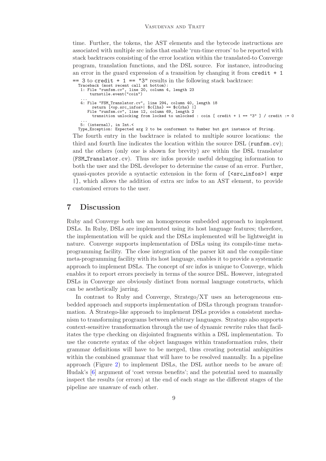time. Further, the tokens, the AST elements and the bytecode instructions are associated with multiple src infos that enable 'run-time errors' to be reported with stack backtraces consisting of the error location within the translated-to Converge program, translation functions, and the DSL source. For instance, introducing an error in the guard expression of a transition by changing it from  $\text{credit} + 1$ 

```
== 3 to credit + 1 == 3" results in the following stack backtrace:
  Traceback (most recent call at bottom):
    1: File "runfsm.cv", line 20, column 4, length 23
turnstile.event("coin")
    ...
4: File "FSM_Translator.cv", line 294, column 40, length 18
return [<op.src_infos>| $c{lhs} == $c{rhs} |]
       File "runfsm.cv", line 12, column 69, length 2
         transition unlocking from locked to unlocked : coin [ credit + 1 == "3" ] / credit := 0
    ...
5: (internal), in Int.<
  Type_Exception: Expected arg 2 to be conformant to Number but got instance of String.
```
The fourth entry in the backtrace is related to multiple source locations: the third and fourth line indicates the location within the source DSL (runfsm.cv); and the others (only one is shown for brevity) are within the DSL translator (FSM Translator.cv). Thus src infos provide useful debugging information to both the user and the DSL developer to determine the cause of an error. Further, quasi-quotes provide a syntactic extension in the form of [<src\_infos>] expr |], which allows the addition of extra src infos to an AST element, to provide customised errors to the user.

#### 7 Discussion

Ruby and Converge both use an homogeneous embedded approach to implement DSLs. In Ruby, DSLs are implemented using its host language features; therefore, the implementation will be quick and the DSLs implemented will be lightweight in nature. Converge supports implementation of DSLs using its compile-time metaprogramming facility. The close integration of the parser kit and the compile-time meta-programming facility with its host language, enables it to provide a systematic approach to implement DSLs. The concept of src infos is unique to Converge, which enables it to report errors precisely in terms of the source DSL. However, integrated DSLs in Converge are obviously distinct from normal language constructs, which can be aesthetically jarring.

In contrast to Ruby and Converge, Stratego/XT uses an heterogeneous embedded approach and supports implementation of DSLs through program transformation. A Stratego-like approach to implement DSLs provides a consistent mechanism to transforming programs between arbitrary languages. Stratego also supports context-sensitive transformation through the use of dynamic rewrite rules that facilitates the type checking on disjointed fragments within a DSL implementation. To use the concrete syntax of the object languages within transformation rules, their grammar definitions will have to be merged, thus creating potential ambiguities within the combined grammar that will have to be resolved manually. In a pipeline approach (Figure [2\)](#page-4-0) to implement DSLs, the DSL author needs to be aware of: Hudak's [\[6\]](#page-10-3) argument of 'cost versus benefits'; and the potential need to manually inspect the results (or errors) at the end of each stage as the different stages of the pipeline are unaware of each other.